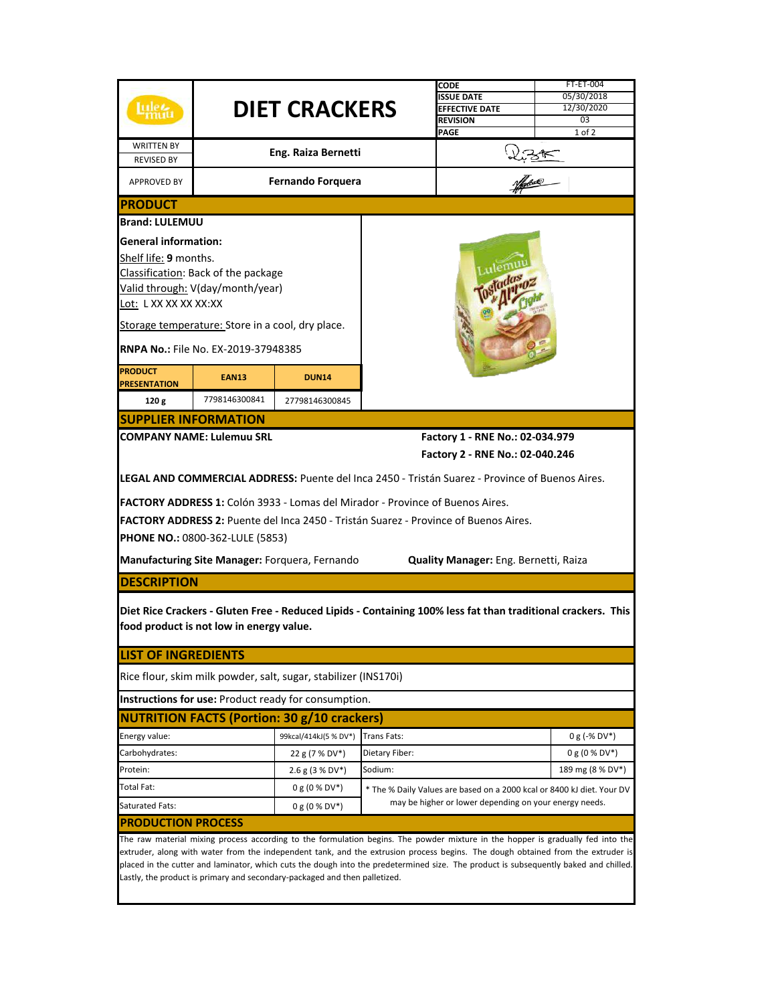|                                                                                                                                 |                                                  |                                                                               |                                                        | CODE                                                                                                                                 | <b>FT-ET-004</b> |  |
|---------------------------------------------------------------------------------------------------------------------------------|--------------------------------------------------|-------------------------------------------------------------------------------|--------------------------------------------------------|--------------------------------------------------------------------------------------------------------------------------------------|------------------|--|
|                                                                                                                                 | <b>DIET CRACKERS</b>                             |                                                                               |                                                        | <b>ISSUE DATE</b>                                                                                                                    | 05/30/2018       |  |
|                                                                                                                                 |                                                  |                                                                               |                                                        | <b>EFFECTIVE DATE</b>                                                                                                                | 12/30/2020       |  |
|                                                                                                                                 |                                                  |                                                                               |                                                        | <b>REVISION</b>                                                                                                                      | 03               |  |
|                                                                                                                                 |                                                  |                                                                               |                                                        | <b>PAGE</b>                                                                                                                          | $1$ of $2$       |  |
| <b>WRITTEN BY</b>                                                                                                               |                                                  |                                                                               |                                                        |                                                                                                                                      |                  |  |
| <b>REVISED BY</b>                                                                                                               |                                                  | Eng. Raiza Bernetti                                                           |                                                        |                                                                                                                                      |                  |  |
| <b>APPROVED BY</b>                                                                                                              |                                                  | <b>Fernando Forquera</b>                                                      |                                                        |                                                                                                                                      |                  |  |
| <b>PRODUCT</b>                                                                                                                  |                                                  |                                                                               |                                                        |                                                                                                                                      |                  |  |
| <b>Brand: LULEMUU</b>                                                                                                           |                                                  |                                                                               |                                                        |                                                                                                                                      |                  |  |
| <b>General information:</b>                                                                                                     |                                                  |                                                                               |                                                        |                                                                                                                                      |                  |  |
|                                                                                                                                 |                                                  |                                                                               |                                                        |                                                                                                                                      |                  |  |
| Shelf life: 9 months.                                                                                                           |                                                  |                                                                               |                                                        |                                                                                                                                      |                  |  |
| Classification: Back of the package                                                                                             |                                                  |                                                                               |                                                        |                                                                                                                                      |                  |  |
| Valid through: V(day/month/year)                                                                                                |                                                  |                                                                               |                                                        |                                                                                                                                      |                  |  |
| Lot: L XX XX XX XX:XX                                                                                                           |                                                  |                                                                               |                                                        |                                                                                                                                      |                  |  |
|                                                                                                                                 |                                                  |                                                                               |                                                        |                                                                                                                                      |                  |  |
|                                                                                                                                 | Storage temperature: Store in a cool, dry place. |                                                                               |                                                        |                                                                                                                                      |                  |  |
|                                                                                                                                 | <b>RNPA No.: File No. EX-2019-37948385</b>       |                                                                               |                                                        |                                                                                                                                      |                  |  |
| <b>PRODUCT</b>                                                                                                                  |                                                  |                                                                               |                                                        |                                                                                                                                      |                  |  |
| <b>PRESENTATION</b>                                                                                                             | <b>EAN13</b>                                     | <b>DUN14</b>                                                                  |                                                        |                                                                                                                                      |                  |  |
| 120g                                                                                                                            | 7798146300841                                    | 27798146300845                                                                |                                                        |                                                                                                                                      |                  |  |
|                                                                                                                                 | <b>SUPPLIER INFORMATION</b>                      |                                                                               |                                                        |                                                                                                                                      |                  |  |
|                                                                                                                                 | <b>COMPANY NAME: Lulemuu SRL</b>                 |                                                                               |                                                        | Factory 1 - RNE No.: 02-034.979                                                                                                      |                  |  |
|                                                                                                                                 |                                                  |                                                                               |                                                        | Factory 2 - RNE No.: 02-040.246                                                                                                      |                  |  |
|                                                                                                                                 |                                                  |                                                                               |                                                        |                                                                                                                                      |                  |  |
|                                                                                                                                 |                                                  |                                                                               |                                                        | <b>LEGAL AND COMMERCIAL ADDRESS:</b> Puente del Inca 2450 - Tristán Suarez - Province of Buenos Aires.                               |                  |  |
|                                                                                                                                 |                                                  | FACTORY ADDRESS 1: Colón 3933 - Lomas del Mirador - Province of Buenos Aires. |                                                        |                                                                                                                                      |                  |  |
|                                                                                                                                 |                                                  |                                                                               |                                                        | FACTORY ADDRESS 2: Puente del Inca 2450 - Tristán Suarez - Province of Buenos Aires.                                                 |                  |  |
|                                                                                                                                 |                                                  |                                                                               |                                                        |                                                                                                                                      |                  |  |
|                                                                                                                                 | <b>PHONE NO.: 0800-362-LULE (5853)</b>           |                                                                               |                                                        |                                                                                                                                      |                  |  |
|                                                                                                                                 |                                                  | <b>Manufacturing Site Manager: Forquera, Fernando</b>                         |                                                        | Quality Manager: Eng. Bernetti, Raiza                                                                                                |                  |  |
| <b>DESCRIPTION</b>                                                                                                              |                                                  |                                                                               |                                                        |                                                                                                                                      |                  |  |
|                                                                                                                                 |                                                  |                                                                               |                                                        |                                                                                                                                      |                  |  |
|                                                                                                                                 |                                                  |                                                                               |                                                        | Diet Rice Crackers - Gluten Free - Reduced Lipids - Containing 100% less fat than traditional crackers. This                         |                  |  |
|                                                                                                                                 | food product is not low in energy value.         |                                                                               |                                                        |                                                                                                                                      |                  |  |
| <b>LIST OF INGREDIENTS</b>                                                                                                      |                                                  |                                                                               |                                                        |                                                                                                                                      |                  |  |
|                                                                                                                                 |                                                  |                                                                               |                                                        |                                                                                                                                      |                  |  |
|                                                                                                                                 |                                                  | Rice flour, skim milk powder, salt, sugar, stabilizer (INS170i)               |                                                        |                                                                                                                                      |                  |  |
|                                                                                                                                 |                                                  | <b>Instructions for use: Product ready for consumption.</b>                   |                                                        |                                                                                                                                      |                  |  |
| <b>NUTRITION FACTS (Portion: 30 g/10 crackers)</b>                                                                              |                                                  |                                                                               |                                                        |                                                                                                                                      |                  |  |
| Energy value:                                                                                                                   |                                                  | 99kcal/414kJ(5 % DV*)                                                         | <b>Trans Fats:</b>                                     |                                                                                                                                      | $0 g (-\% DV^*)$ |  |
| Carbohydrates:                                                                                                                  |                                                  | 22 g (7 % DV*)                                                                | Dietary Fiber:                                         |                                                                                                                                      | $0 g (0 % DV*)$  |  |
| Protein:                                                                                                                        |                                                  | $2.6$ g (3 % DV*)                                                             | Sodium:                                                |                                                                                                                                      | 189 mg (8 % DV*) |  |
| Total Fat:                                                                                                                      |                                                  | $0 g (0 % DV*)$                                                               |                                                        | * The % Daily Values are based on a 2000 kcal or 8400 kJ diet. Your DV                                                               |                  |  |
| Saturated Fats:                                                                                                                 |                                                  | 0 g (0 % DV*)                                                                 | may be higher or lower depending on your energy needs. |                                                                                                                                      |                  |  |
| <b>PRODUCTION PROCESS</b>                                                                                                       |                                                  |                                                                               |                                                        |                                                                                                                                      |                  |  |
| The raw material mixing process according to the formulation begins. The powder mixture in the hopper is gradually fed into the |                                                  |                                                                               |                                                        |                                                                                                                                      |                  |  |
|                                                                                                                                 |                                                  |                                                                               |                                                        | extruder, along with water from the independent tank, and the extrusion process begins. The dough obtained from the extruder is      |                  |  |
|                                                                                                                                 |                                                  |                                                                               |                                                        | placed in the cutter and laminator, which cuts the dough into the predetermined size. The product is subsequently baked and chilled. |                  |  |
|                                                                                                                                 |                                                  | Lastly, the product is primary and secondary-packaged and then palletized.    |                                                        |                                                                                                                                      |                  |  |
|                                                                                                                                 |                                                  |                                                                               |                                                        |                                                                                                                                      |                  |  |
|                                                                                                                                 |                                                  |                                                                               |                                                        |                                                                                                                                      |                  |  |